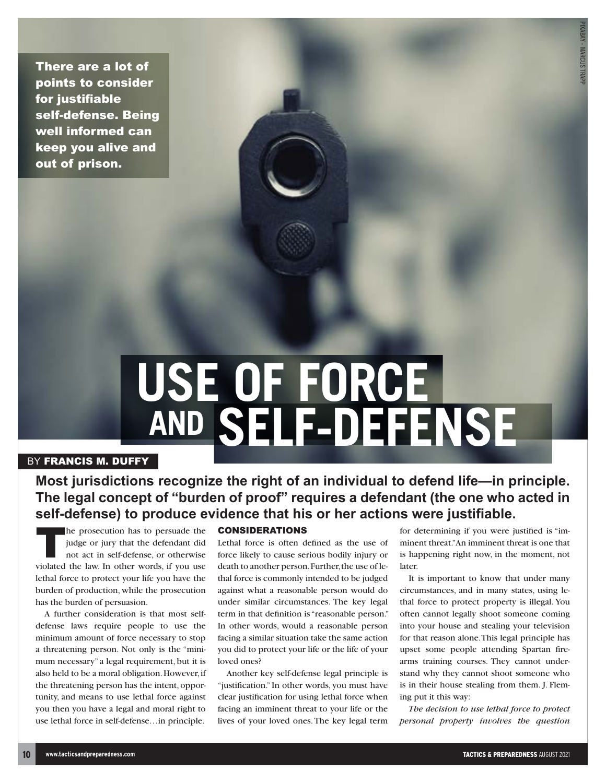There are a lot of points to consider for justifiable self-defense. Being well informed can keep you alive and out of prison.

# **USE OF FORCE AND SELF-DEFENSE**

# BY FRANCIS M. DUFFY

# **Most jurisdictions recognize the right of an individual to defend life—in principle. The legal concept of "burden of proof" requires a defendant (the one who acted in self-defense) to produce evidence that his or her actions were justifiable.**

The prosecution has to persuade the judge or jury that the defendant did not act in self-defense, or otherwise violated the law. In other words, if you use lethal force to protect your life you have the burden of production, while the prosecution has the burden of persuasion.

A further consideration is that most selfdefense laws require people to use the minimum amount of force necessary to stop a threatening person. Not only is the "minimum necessary" a legal requirement, but it is also held to be a moral obligation. However, if the threatening person has the intent, opportunity, and means to use lethal force against you then you have a legal and moral right to use lethal force in self-defense…in principle.

#### CONSIDERATIONS

Lethal force is often defined as the use of force likely to cause serious bodily injury or death to another person. Further, the use of lethal force is commonly intended to be judged against what a reasonable person would do under similar circumstances. The key legal term in that definition is "reasonable person." In other words, would a reasonable person facing a similar situation take the same action you did to protect your life or the life of your loved ones?

Another key self-defense legal principle is "justification." In other words, you must have clear justification for using lethal force when facing an imminent threat to your life or the lives of your loved ones. The key legal term for determining if you were justified is "imminent threat." An imminent threat is one that is happening right now, in the moment, not later.

It is important to know that under many circumstances, and in many states, using lethal force to protect property is illegal. You often cannot legally shoot someone coming into your house and stealing your television for that reason alone. This legal principle has upset some people attending Spartan firearms training courses. They cannot understand why they cannot shoot someone who is in their house stealing from them. J. Fleming put it this way:

*The decision to use lethal force to protect personal property involves the question*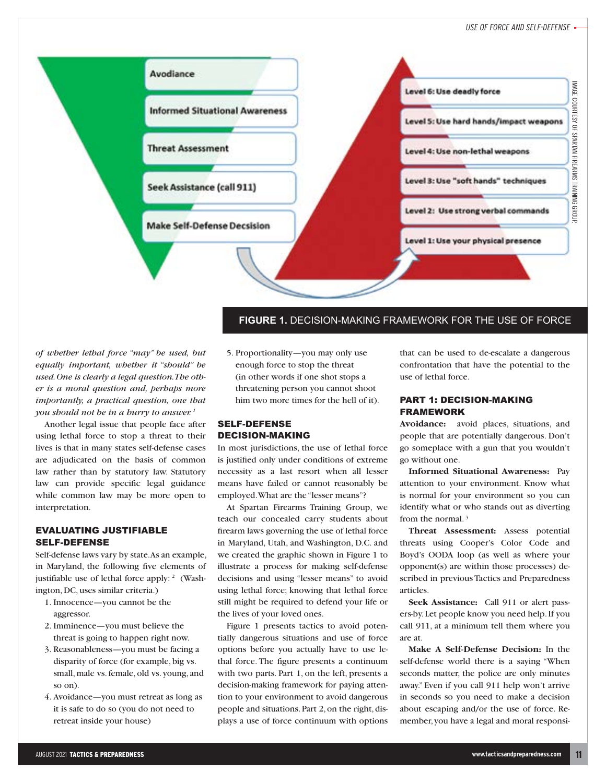

**FIGURE 1.** DECISION-MAKING FRAMEWORK FOR THE USE OF FORCE

*of whether lethal force "may" be used, but equally important, whether it "should" be used. One is clearly a legal question. The other is a moral question and, perhaps more importantly, a practical question, one that you should not be in a hurry to answer. 1*

Another legal issue that people face after using lethal force to stop a threat to their lives is that in many states self-defense cases are adjudicated on the basis of common law rather than by statutory law. Statutory law can provide specific legal guidance while common law may be more open to interpretation.

# EVALUATING JUSTIFIABLE SELF-DEFENSE

Self-defense laws vary by state. As an example, in Maryland, the following five elements of justifiable use of lethal force apply: <sup>2</sup> (Washington, DC, uses similar criteria.)

- 1. Innocence—you cannot be the aggressor.
- 2. Imminence—you must believe the threat is going to happen right now.
- 3. Reasonableness—you must be facing a disparity of force (for example, big vs. small, male vs. female, old vs. young, and so on).
- 4. Avoidance—you must retreat as long as it is safe to do so (you do not need to retreat inside your house)

5. Proportionality—you may only use enough force to stop the threat (in other words if one shot stops a threatening person you cannot shoot him two more times for the hell of it).

# SELF-DEFENSE DECISION-MAKING

In most jurisdictions, the use of lethal force is justified only under conditions of extreme necessity as a last resort when all lesser means have failed or cannot reasonably be employed. What are the "lesser means"?

At Spartan Firearms Training Group, we teach our concealed carry students about firearm laws governing the use of lethal force in Maryland, Utah, and Washington, D.C. and we created the graphic shown in Figure 1 to illustrate a process for making self-defense decisions and using "lesser means" to avoid using lethal force; knowing that lethal force still might be required to defend your life or the lives of your loved ones.

Figure 1 presents tactics to avoid potentially dangerous situations and use of force options before you actually have to use lethal force. The figure presents a continuum with two parts. Part 1, on the left, presents a decision-making framework for paying attention to your environment to avoid dangerous people and situations. Part 2, on the right, displays a use of force continuum with options

that can be used to de-escalate a dangerous confrontation that have the potential to the use of lethal force.

#### PART 1: DECISION-MAKING FRAMEWORK

**Avoidance:** avoid places, situations, and people that are potentially dangerous. Don't go someplace with a gun that you wouldn't go without one.

**Informed Situational Awareness:** Pay attention to your environment. Know what is normal for your environment so you can identify what or who stands out as diverting from the normal. 3

**Threat Assessment:** Assess potential threats using Cooper's Color Code and Boyd's OODA loop (as well as where your opponent(s) are within those processes) described in previous Tactics and Preparedness articles.

**Seek Assistance:** Call 911 or alert passers-by. Let people know you need help. If you call 911, at a minimum tell them where you are at.

**Make A Self-Defense Decision:** In the self-defense world there is a saying "When seconds matter, the police are only minutes away." Even if you call 911 help won't arrive in seconds so you need to make a decision about escaping and/or the use of force. Remember, you have a legal and moral responsi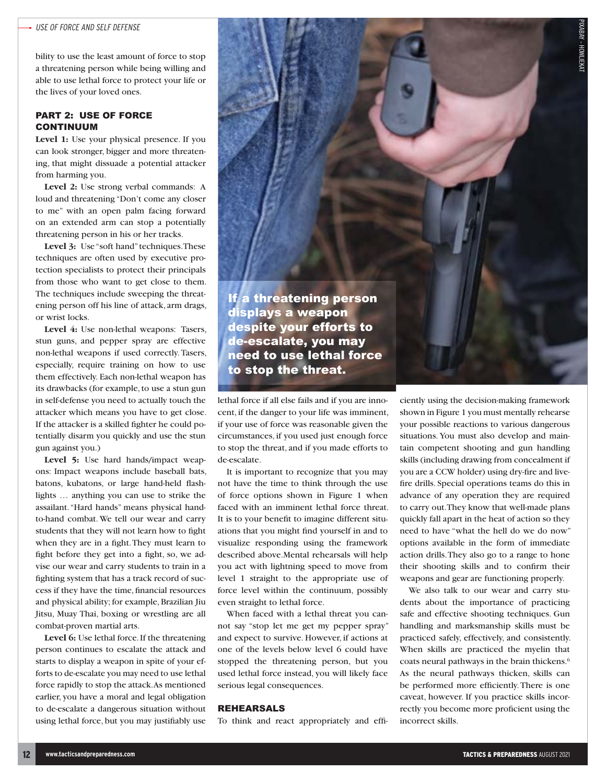bility to use the least amount of force to stop a threatening person while being willing and able to use lethal force to protect your life or the lives of your loved ones.

#### PART 2: USE OF FORCE CONTINUUM

**Level 1:** Use your physical presence. If you can look stronger, bigger and more threatening, that might dissuade a potential attacker from harming you.

Level 2: Use strong verbal commands: A loud and threatening "Don't come any closer to me" with an open palm facing forward on an extended arm can stop a potentially threatening person in his or her tracks.

Level 3: Use "soft hand" techniques. These techniques are often used by executive protection specialists to protect their principals from those who want to get close to them. The techniques include sweeping the threatening person off his line of attack, arm drags, or wrist locks.

**Level 4:** Use non-lethal weapons: Tasers, stun guns, and pepper spray are effective non-lethal weapons if used correctly. Tasers, especially, require training on how to use them effectively. Each non-lethal weapon has its drawbacks (for example, to use a stun gun in self-defense you need to actually touch the attacker which means you have to get close. If the attacker is a skilled fighter he could potentially disarm you quickly and use the stun gun against you.)

Level 5: Use hard hands/impact weapons: Impact weapons include baseball bats, batons, kubatons, or large hand-held flashlights … anything you can use to strike the assailant. "Hard hands" means physical handto-hand combat. We tell our wear and carry students that they will not learn how to fight when they are in a fight. They must learn to fight before they get into a fight, so, we advise our wear and carry students to train in a fighting system that has a track record of success if they have the time, financial resources and physical ability; for example, Brazilian Jiu Jitsu, Muay Thai, boxing or wrestling are all combat-proven martial arts.

**Level 6:** Use lethal force. If the threatening person continues to escalate the attack and starts to display a weapon in spite of your efforts to de-escalate you may need to use lethal force rapidly to stop the attack. As mentioned earlier, you have a moral and legal obligation to de-escalate a dangerous situation without using lethal force, but you may justifiably use



lethal force if all else fails and if you are innocent, if the danger to your life was imminent, if your use of force was reasonable given the circumstances, if you used just enough force to stop the threat, and if you made efforts to de-escalate.

It is important to recognize that you may not have the time to think through the use of force options shown in Figure 1 when faced with an imminent lethal force threat. It is to your benefit to imagine different situations that you might find yourself in and to visualize responding using the framework described above.Mental rehearsals will help you act with lightning speed to move from level 1 straight to the appropriate use of force level within the continuum, possibly even straight to lethal force.

When faced with a lethal threat you cannot say "stop let me get my pepper spray" and expect to survive. However, if actions at one of the levels below level 6 could have stopped the threatening person, but you used lethal force instead, you will likely face serious legal consequences.

#### REHEARSALS

To think and react appropriately and effi-

ciently using the decision-making framework shown in Figure 1 you must mentally rehearse your possible reactions to various dangerous situations. You must also develop and maintain competent shooting and gun handling skills (including drawing from concealment if you are a CCW holder) using dry-fire and livefire drills. Special operations teams do this in advance of any operation they are required to carry out. They know that well-made plans quickly fall apart in the heat of action so they need to have "what the hell do we do now" options available in the form of immediate action drills. They also go to a range to hone their shooting skills and to confirm their weapons and gear are functioning properly.

We also talk to our wear and carry students about the importance of practicing safe and effective shooting techniques. Gun handling and marksmanship skills must be practiced safely, effectively, and consistently. When skills are practiced the myelin that coats neural pathways in the brain thickens.6 As the neural pathways thicken, skills can be performed more efficiently. There is one caveat, however. If you practice skills incorrectly you become more proficient using the incorrect skills.